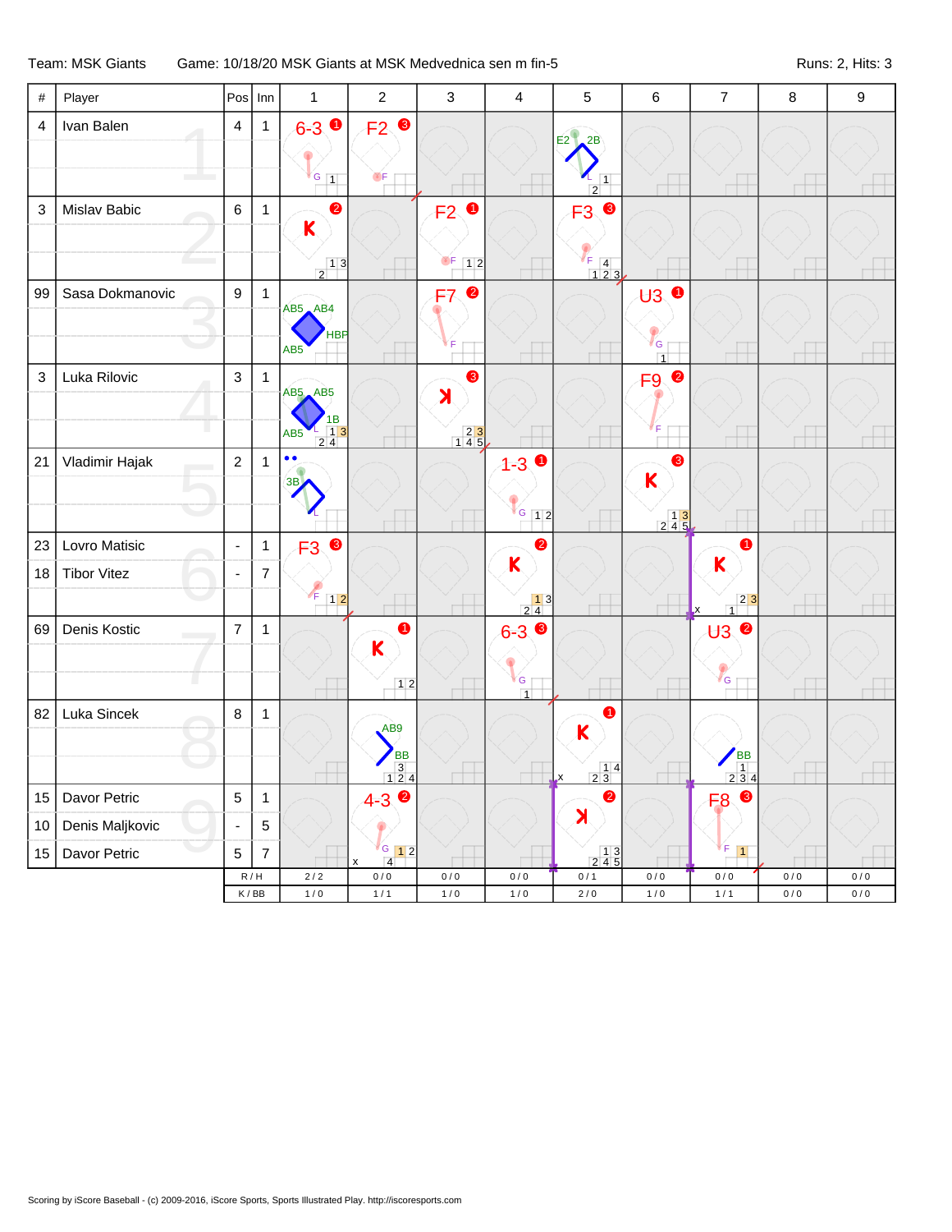## Team: MSK Giants Game: 10/18/20 MSK Giants at MSK Medvednica sen m fin-5 Runs: 2, Hits: 3

| $\#$                      | Player             | Pos                     | $  \mathsf{Inn}$ | $\mathbf{1}$                                                 | $\overline{2}$          | $\mathbf{3}$                             | $\overline{4}$                                                          | 5                                                                                                                                                                                                                                                                                                                                                                                                                     | $6\phantom{1}6$                              | $\overline{7}$                                                                  | 8   | 9   |
|---------------------------|--------------------|-------------------------|------------------|--------------------------------------------------------------|-------------------------|------------------------------------------|-------------------------------------------------------------------------|-----------------------------------------------------------------------------------------------------------------------------------------------------------------------------------------------------------------------------------------------------------------------------------------------------------------------------------------------------------------------------------------------------------------------|----------------------------------------------|---------------------------------------------------------------------------------|-----|-----|
| $\overline{4}$            | Ivan Balen         | $\overline{\mathbf{4}}$ | $\mathbf{1}$     | $6-3$ 0                                                      | $F2$ ®                  |                                          |                                                                         | E2<br>2B                                                                                                                                                                                                                                                                                                                                                                                                              |                                              |                                                                                 |     |     |
|                           |                    |                         |                  |                                                              |                         |                                          |                                                                         |                                                                                                                                                                                                                                                                                                                                                                                                                       |                                              |                                                                                 |     |     |
|                           |                    |                         |                  | $G_{1}$                                                      | OF                      |                                          |                                                                         | $\overline{1}$<br>$\overline{2}$                                                                                                                                                                                                                                                                                                                                                                                      |                                              |                                                                                 |     |     |
| $\ensuremath{\mathsf{3}}$ | Mislav Babic       | $\,6\,$                 | $\mathbf{1}$     | $\bullet$                                                    |                         | $\bullet$<br>F2                          |                                                                         | $\bullet$<br>F <sub>3</sub>                                                                                                                                                                                                                                                                                                                                                                                           |                                              |                                                                                 |     |     |
|                           |                    |                         |                  | $\overline{\mathsf{K}}$                                      |                         |                                          |                                                                         |                                                                                                                                                                                                                                                                                                                                                                                                                       |                                              |                                                                                 |     |     |
|                           |                    |                         |                  | $\begin{array}{c c} & 1 & 3 \end{array}$                     |                         | OF.<br>$\boxed{1}$ 2                     |                                                                         | $\frac{1}{123}$                                                                                                                                                                                                                                                                                                                                                                                                       |                                              |                                                                                 |     |     |
| 99                        | Sasa Dokmanovic    | $\boldsymbol{9}$        | $\mathbf{1}$     |                                                              |                         | $\bullet$<br>F7                          |                                                                         |                                                                                                                                                                                                                                                                                                                                                                                                                       | $\overline{\mathsf{U3}}$<br>$\bullet$        |                                                                                 |     |     |
|                           |                    |                         |                  | AB5 AB4                                                      |                         |                                          |                                                                         |                                                                                                                                                                                                                                                                                                                                                                                                                       |                                              |                                                                                 |     |     |
|                           |                    |                         |                  | <b>HBP</b><br>AB <sub>5</sub>                                |                         |                                          |                                                                         |                                                                                                                                                                                                                                                                                                                                                                                                                       | G                                            |                                                                                 |     |     |
| 3                         | Luka Rilovic       | $\mathbf{3}$            | $\mathbf{1}$     |                                                              |                         | ❸                                        |                                                                         |                                                                                                                                                                                                                                                                                                                                                                                                                       | $\overline{1}$<br>❷<br>F <sub>9</sub>        |                                                                                 |     |     |
|                           |                    |                         |                  | AB5 AB5                                                      |                         | $\blacktriangleright$                    |                                                                         |                                                                                                                                                                                                                                                                                                                                                                                                                       |                                              |                                                                                 |     |     |
|                           |                    |                         |                  | 1B<br>AB <sub>5</sub>                                        |                         |                                          |                                                                         |                                                                                                                                                                                                                                                                                                                                                                                                                       |                                              |                                                                                 |     |     |
| 21                        |                    | $\overline{2}$          |                  | $\begin{array}{c c} 1 & 3 \\ 2 & 4 \end{array}$<br>$\bullet$ |                         | $\begin{array}{c} 23 \\ 145 \end{array}$ |                                                                         |                                                                                                                                                                                                                                                                                                                                                                                                                       | ❸                                            |                                                                                 |     |     |
|                           | Vladimir Hajak     |                         | $\mathbf{1}$     | 3B                                                           |                         |                                          | $1 - 30$                                                                |                                                                                                                                                                                                                                                                                                                                                                                                                       | $\overline{\mathsf{K}}$                      |                                                                                 |     |     |
|                           |                    |                         |                  |                                                              |                         |                                          |                                                                         |                                                                                                                                                                                                                                                                                                                                                                                                                       |                                              |                                                                                 |     |     |
|                           |                    |                         |                  |                                                              |                         |                                          | $\begin{array}{ c c c c c }\n\hline\n\text{G} & \text{12}\n\end{array}$ |                                                                                                                                                                                                                                                                                                                                                                                                                       | $\begin{array}{c c} & 13 \\ 245 \end{array}$ |                                                                                 |     |     |
| 23                        | Lovro Matisic      | $\blacksquare$          | $\mathbf{1}$     | $\bullet$<br>F <sub>3</sub>                                  |                         |                                          | ❷<br>K                                                                  |                                                                                                                                                                                                                                                                                                                                                                                                                       |                                              | K                                                                               |     |     |
| 18                        | <b>Tibor Vitez</b> | ä,                      | $\overline{7}$   |                                                              |                         |                                          |                                                                         |                                                                                                                                                                                                                                                                                                                                                                                                                       |                                              |                                                                                 |     |     |
|                           |                    |                         |                  | $F$ 12                                                       |                         |                                          | $\begin{array}{ c c }\n\hline\n1 & 3 \\ \hline\n2 & 4\n\end{array}$     |                                                                                                                                                                                                                                                                                                                                                                                                                       |                                              | $\begin{array}{c c} & 2 & 3 \\ \hline & 1 & \end{array}$                        |     |     |
| 69                        | Denis Kostic       | $\overline{7}$          | $\mathbf{1}$     |                                                              | ➊                       |                                          | $6-3$ $\bullet$                                                         |                                                                                                                                                                                                                                                                                                                                                                                                                       |                                              | $\bullet$<br>U3                                                                 |     |     |
|                           |                    |                         |                  |                                                              | $\mathsf{K}$            |                                          |                                                                         |                                                                                                                                                                                                                                                                                                                                                                                                                       |                                              |                                                                                 |     |     |
|                           | п                  |                         |                  |                                                              | $12$                    |                                          | $\mathsf{G}$<br>$\overline{1}$                                          |                                                                                                                                                                                                                                                                                                                                                                                                                       |                                              | G                                                                               |     |     |
| 82                        | Luka Sincek        | $\,8\,$                 | $\mathbf{1}$     |                                                              |                         |                                          |                                                                         | 1                                                                                                                                                                                                                                                                                                                                                                                                                     |                                              |                                                                                 |     |     |
|                           |                    |                         |                  |                                                              | AB9                     |                                          |                                                                         | K                                                                                                                                                                                                                                                                                                                                                                                                                     |                                              |                                                                                 |     |     |
|                           |                    |                         |                  |                                                              | BB<br>3<br>124          |                                          |                                                                         | $\begin{array}{@{}c@{\hspace{1em}}c@{\hspace{1em}}c@{\hspace{1em}}c@{\hspace{1em}}c@{\hspace{1em}}c@{\hspace{1em}}c@{\hspace{1em}}c@{\hspace{1em}}c@{\hspace{1em}}c@{\hspace{1em}}c@{\hspace{1em}}c@{\hspace{1em}}c@{\hspace{1em}}c@{\hspace{1em}}c@{\hspace{1em}}c@{\hspace{1em}}c@{\hspace{1em}}c@{\hspace{1em}}c@{\hspace{1em}}c@{\hspace{1em}}c@{\hspace{1em}}c@{\hspace{1em}}c@{\hspace{1em}}c@{\hspace{$        |                                              | BB<br>$\begin{array}{ c c c }\n\hline\n1 & 4 \\ \hline\n2 & 3 & 4\n\end{array}$ |     |     |
| 15                        | Davor Petric       | 5                       | $\mathbf{1}$     |                                                              | $4 - 3$                 |                                          |                                                                         | $\mathsf{x}$<br>$\bullet$                                                                                                                                                                                                                                                                                                                                                                                             |                                              | <b>F8</b>                                                                       |     |     |
| 10                        | Denis Maljkovic    | $\blacksquare$          | $\sqrt{5}$       |                                                              |                         |                                          |                                                                         | $\lambda$                                                                                                                                                                                                                                                                                                                                                                                                             |                                              |                                                                                 |     |     |
|                           | Davor Petric       | 5                       | $\overline{7}$   |                                                              |                         |                                          |                                                                         |                                                                                                                                                                                                                                                                                                                                                                                                                       |                                              | F.<br>$\vert$ 1                                                                 |     |     |
| 15                        |                    |                         | R/H              | 2/2                                                          | $\frac{6}{4}$ 12<br>0/0 | 0/0                                      | 0/0                                                                     | $\begin{array}{@{}c@{\hspace{1em}}c@{\hspace{1em}}c@{\hspace{1em}}c@{\hspace{1em}}c@{\hspace{1em}}c@{\hspace{1em}}c@{\hspace{1em}}c@{\hspace{1em}}c@{\hspace{1em}}c@{\hspace{1em}}c@{\hspace{1em}}c@{\hspace{1em}}c@{\hspace{1em}}c@{\hspace{1em}}c@{\hspace{1em}}c@{\hspace{1em}}c@{\hspace{1em}}c@{\hspace{1em}}c@{\hspace{1em}}c@{\hspace{1em}}c@{\hspace{1em}}c@{\hspace{1em}}c@{\hspace{1em}}c@{\hspace{$<br>0/1 | 0/0                                          | 0/0                                                                             | 0/0 | 0/0 |
|                           |                    |                         | K/BB             | 1/0                                                          | 1/1                     | 1/0                                      | 1/0                                                                     | 2/0                                                                                                                                                                                                                                                                                                                                                                                                                   | 1/0                                          | 1/1                                                                             | 0/0 | 0/0 |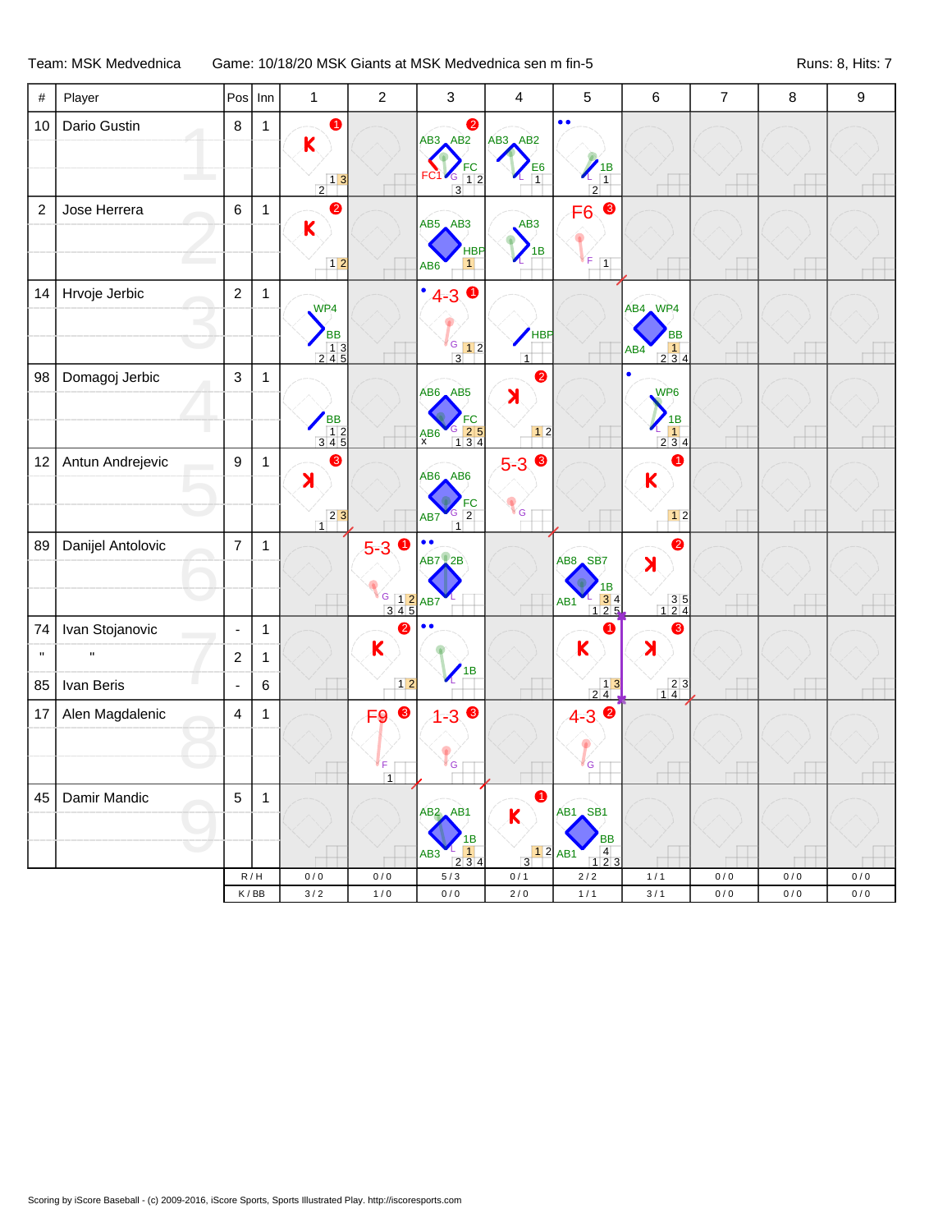## Team: MSK Medvednica Game: 10/18/20 MSK Giants at MSK Medvednica sen m fin-5 Runs: 8, Hits: 7

| $\#$              | Player                          | Pos                                | Inn         | $\mathbf{1}$                                                                                      | $\overline{c}$                                     | 3                                                                                      | $\overline{4}$                              | 5                                                                                 | $\,6$                                                                                   | $\overline{7}$ | $\,8\,$ | $\boldsymbol{9}$ |
|-------------------|---------------------------------|------------------------------------|-------------|---------------------------------------------------------------------------------------------------|----------------------------------------------------|----------------------------------------------------------------------------------------|---------------------------------------------|-----------------------------------------------------------------------------------|-----------------------------------------------------------------------------------------|----------------|---------|------------------|
| 10                | Dario Gustin                    | $\bf 8$                            | 1           | $\bullet$<br>$\mathsf K$<br>$\begin{array}{c c} & 1 & 3 \\ \hline 2 & & \end{array}$              |                                                    | $\bullet$<br>$AB3$ $AB2$<br>FC<br>FC1C<br>$\overline{1}\overline{2}$<br>$\overline{3}$ | AB3 AB2<br>E <sub>6</sub><br>$\overline{1}$ | $\bullet$<br>$\frac{1}{1}$<br>$\overline{2}$                                      |                                                                                         |                |         |                  |
| $\boldsymbol{2}$  | Jose Herrera                    | $\,6\,$                            | 1           | $\bullet$<br>$\overline{\mathsf{K}}$<br>$12$                                                      |                                                    | $AB5$ $AB3$<br><b>HBP</b><br>1<br>AB <sub>6</sub>                                      | AB3<br>1B                                   | $\bullet$<br>F <sub>6</sub><br>ľΕ<br>$\boxed{1}$                                  |                                                                                         |                |         |                  |
| 14                | Hrvoje Jerbic                   | $\overline{c}$                     | 1           | WP4<br><b>BB</b><br>$\begin{array}{ c c c }\n\hline\n& 1 & 3 \\ 2 & 4 & 5 \\ \hline\n\end{array}$ |                                                    | ٠<br>$\bullet$<br>$4 - 3$<br>$G$ 12<br>$\overline{3}$                                  | HBP<br>$\overline{1}$                       |                                                                                   | AB4 WP4<br><b>BB</b><br>1<br>AB4<br>234                                                 |                |         |                  |
| 98                | Domagoj Jerbic                  | $\mathfrak{Z}$                     | 1           | $\begin{array}{c}\n\sqrt{BB} \\ 12 \\ 345\n\end{array}$                                           |                                                    | AB6 AB5<br>G 25<br>134<br>A B6                                                         | $\bullet$<br>$\blacktriangleright$<br>$12$  |                                                                                   | WP6<br>1B<br>$\vert$ 1<br>234                                                           |                |         |                  |
| 12                | Antun Andrejevic                | $\boldsymbol{9}$                   | $\mathbf 1$ | 6<br>$\lambda$<br>$23$<br>$\overline{1}$                                                          |                                                    | $AB6$ $AB6$<br>$rac{FC}{2}$<br>AB7<br>$\overline{1}$                                   | $5 - 3$<br>G                                |                                                                                   | 0<br>K<br>$12$                                                                          |                |         |                  |
| 89                | Danijel Antolovic               | $\overline{7}$                     | 1           |                                                                                                   | $5 - 3$ 0<br>G 12 AB7                              | $\bullet$<br>$\bullet$<br>$AB7$ 2B                                                     |                                             | AB8 SB7<br>1B<br>$\frac{1}{1}$ $\frac{3}{2}$ $\frac{4}{5}$<br>AB <sub>1</sub>     | $\bullet$<br>$\blacktriangleright$<br>$\begin{array}{c} 3 & 5 \\ 1 & 2 & 4 \end{array}$ |                |         |                  |
| 74<br>$\mathbf H$ | Ivan Stojanovic<br>$\mathbf{u}$ | $\blacksquare$<br>$\boldsymbol{2}$ | 1<br>1      |                                                                                                   | 2<br>K                                             | $\bullet$                                                                              |                                             | 1<br>K                                                                            | ❸<br>X                                                                                  |                |         |                  |
| 85                | Ivan Beris                      | $\blacksquare$                     | 6           |                                                                                                   | $\boxed{1}$                                        | 1B                                                                                     |                                             | $\begin{array}{c c} & 13 \\ 24 \end{array}$                                       | $\begin{array}{ c c }\n\hline\n2 & 3 \\ 1 & 4\n\end{array}$                             |                |         |                  |
| 17                | Alen Magdalenic                 | 4                                  | 1           |                                                                                                   | $\bullet$<br>F <sub>9</sub><br>F<br>$\overline{1}$ | $\bullet$<br>$1 - 3$<br>ľ G                                                            |                                             | $4 - 3$<br><sup></sup> G                                                          |                                                                                         |                |         |                  |
| 45                | Damir Mandic                    | $\mathbf 5$                        | 1           |                                                                                                   |                                                    | $AB2$ $AB1$<br>1B<br>1<br>AB3<br>2 3 4                                                 | 0<br>K<br>$\overline{3}$                    | AB1 SB1<br><b>BB</b><br>$\begin{array}{c} 4 \\ 1 \ 2 \ 3 \end{array}$<br>$12$ AB1 |                                                                                         |                |         |                  |
|                   |                                 |                                    | R/H         | 0/0                                                                                               | 0/0                                                | 5/3                                                                                    | 0/1                                         | $2/2$                                                                             | 1/1                                                                                     | 0/0            | 0/0     | 0/0              |
|                   |                                 |                                    | K/BB        | $3/2$                                                                                             | $1/0$                                              | $0/0$                                                                                  | $2\,/\,0$                                   | $1/1$                                                                             | $3/1$                                                                                   | $0\,/\,0$      | 0/0     | $0/0$            |